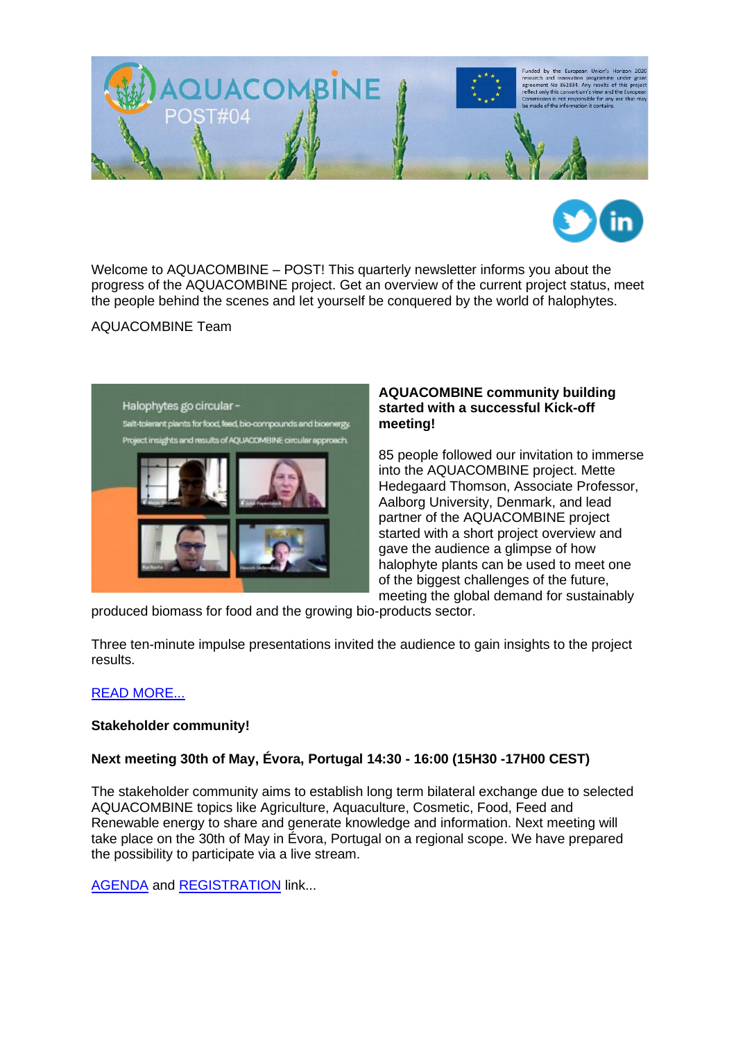



Welcome to AQUACOMBINE – POST! This quarterly newsletter informs you about the progress of the AQUACOMBINE project. Get an overview of the current project status, meet the people behind the scenes and let yourself be conquered by the world of halophytes.

AQUACOMBINE Team



#### **AQUACOMBINE community building started with a successful Kick-off meeting!**

85 people followed our invitation to immerse into the AQUACOMBINE project. Mette Hedegaard Thomson, Associate Professor, Aalborg University, Denmark, and lead partner of the AQUACOMBINE project started with a short project overview and gave the audience a glimpse of how halophyte plants can be used to meet one of the biggest challenges of the future, meeting the global demand for sustainably

produced biomass for food and the growing bio-products sector.

Three ten-minute impulse presentations invited the audience to gain insights to the project results.

# [READ MORE...](https://www.aquacombine.eu/?p=1237)

#### **Stakeholder community!**

# **Next meeting 30th of May, Évora, Portugal 14:30 - 16:00 (15H30 -17H00 CEST)**

The stakeholder community aims to establish long term bilateral exchange due to selected AQUACOMBINE topics like Agriculture, Aquaculture, Cosmetic, Food, Feed and Renewable energy to share and generate knowledge and information. Next meeting will take place on the 30th of May in Évora, Portugal on a regional scope. We have prepared the possibility to participate via a live stream.

**[AGENDA](https://www.foodprocessing.de/wp-content/uploads/22-05-30_AQUACOMBINE-Agenda_Evora_final.pdf)** and **REGISTRATION** link...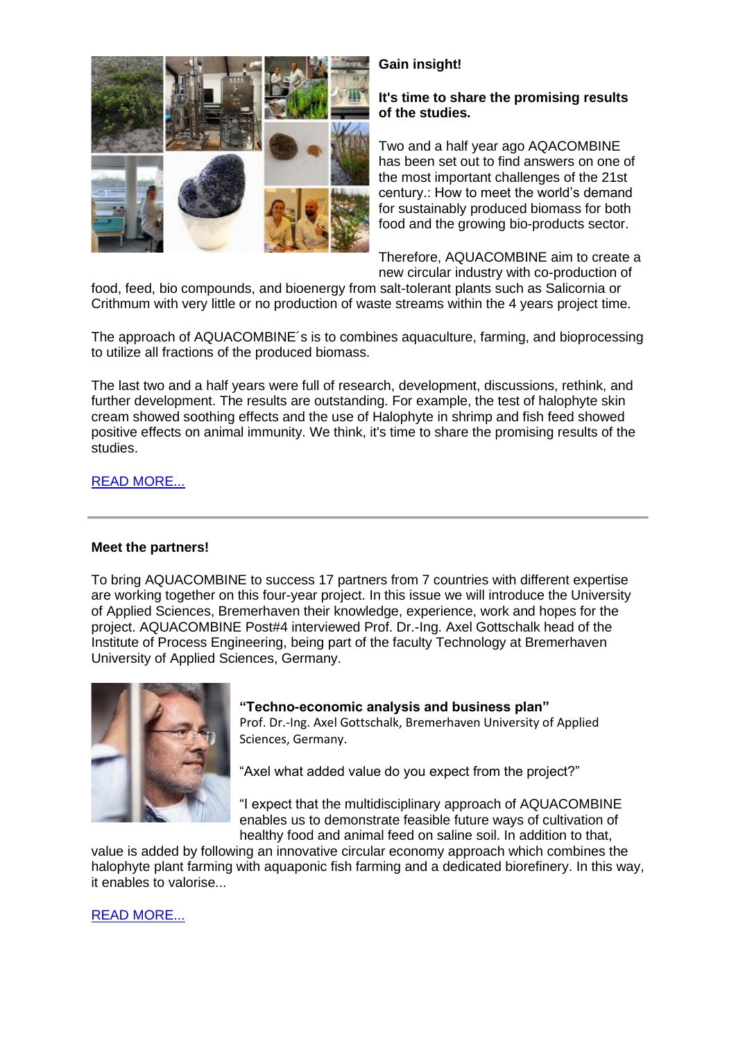

# **Gain insight!**

## **It's time to share the promising results of the studies.**

Two and a half year ago AQACOMBINE has been set out to find answers on one of the most important challenges of the 21st century.: How to meet the world's demand for sustainably produced biomass for both food and the growing bio-products sector.

Therefore, AQUACOMBINE aim to create a new circular industry with co-production of

food, feed, bio compounds, and bioenergy from salt-tolerant plants such as Salicornia or Crithmum with very little or no production of waste streams within the 4 years project time.

The approach of AQUACOMBINE´s is to combines aquaculture, farming, and bioprocessing to utilize all fractions of the produced biomass.

The last two and a half years were full of research, development, discussions, rethink, and further development. The results are outstanding. For example, the test of halophyte skin cream showed soothing effects and the use of Halophyte in shrimp and fish feed showed positive effects on animal immunity. We think, it's time to share the promising results of the studies.

## [READ MORE...](https://www.aquacombine.eu/?p=1355)

#### **Meet the partners!**

To bring AQUACOMBINE to success 17 partners from 7 countries with different expertise are working together on this four-year project. In this issue we will introduce the University of Applied Sciences, Bremerhaven their knowledge, experience, work and hopes for the project. AQUACOMBINE Post#4 interviewed Prof. Dr.-Ing. Axel Gottschalk head of the Institute of Process Engineering, being part of the faculty Technology at Bremerhaven University of Applied Sciences, Germany.



# **"Techno-economic analysis and business plan"**

Prof. Dr.-Ing. Axel Gottschalk, Bremerhaven University of Applied Sciences, Germany.

"Axel what added value do you expect from the project?"

"I expect that the multidisciplinary approach of AQUACOMBINE enables us to demonstrate feasible future ways of cultivation of healthy food and animal feed on saline soil. In addition to that,

value is added by following an innovative circular economy approach which combines the halophyte plant farming with aquaponic fish farming and a dedicated biorefinery. In this way, it enables to valorise...

# [READ MORE...](https://www.aquacombine.eu/wp-content/uploads/2022/05/22-05-16_Interview_Axel-Gottschalk_FPI.pdf)